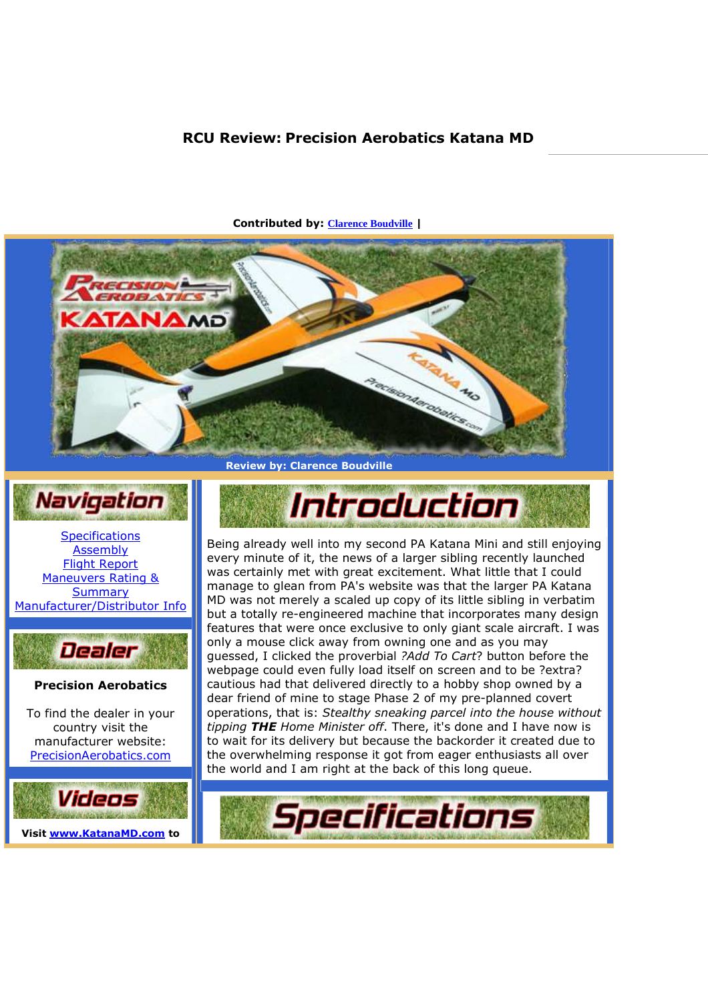## **RCU Review: Precision Aerobatics Katana MD**



**Contributed by: Clarence Boudville |** 



**Specifications** Assembly Flight Report Maneuvers Rating & **Summary** Manufacturer/Distributor Info



**Precision Aerobatics** 

To find the dealer in your country visit the manufacturer website: PrecisionAerobatics.com





Being already well into my second PA Katana Mini and still enjoying every minute of it, the news of a larger sibling recently launched was certainly met with great excitement. What little that I could manage to glean from PA's website was that the larger PA Katana MD was not merely a scaled up copy of its little sibling in verbatim but a totally re-engineered machine that incorporates many design features that were once exclusive to only giant scale aircraft. I was only a mouse click away from owning one and as you may guessed, I clicked the proverbial *?Add To Cart*? button before the webpage could even fully load itself on screen and to be ?extra? cautious had that delivered directly to a hobby shop owned by a dear friend of mine to stage Phase 2 of my pre-planned covert operations, that is: *Stealthy sneaking parcel into the house without tipping THE Home Minister off*. There, it's done and I have now is to wait for its delivery but because the backorder it created due to the overwhelming response it got from eager enthusiasts all over the world and I am right at the back of this long queue.

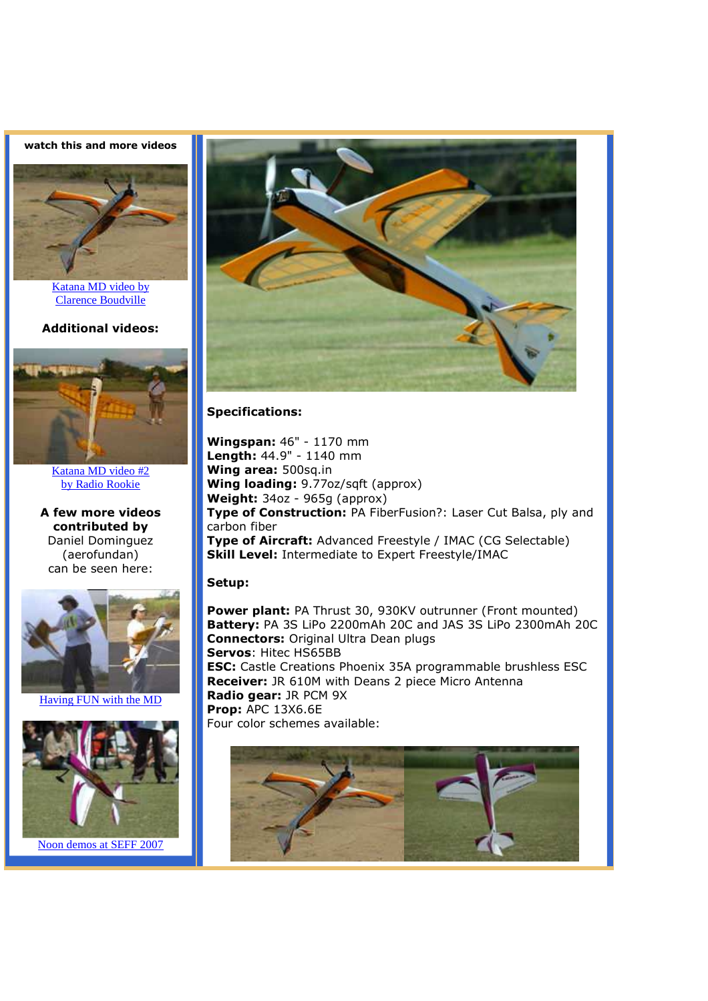**watch this and more videos** 



Katana MD video by Clarence Boudville

**Additional videos:** 



Katana MD video #2 by Radio Rookie

**A few more videos contributed by** Daniel Dominguez (aerofundan) can be seen here:



Having FUN with the MD





### **Specifications:**

**Wingspan:** 46" - 1170 mm **Length:** 44.9" - 1140 mm **Wing area:** 500sq.in **Wing loading:** 9.77oz/sqft (approx) **Weight:** 34oz - 965g (approx) **Type of Construction:** PA FiberFusion?: Laser Cut Balsa, ply and carbon fiber **Type of Aircraft:** Advanced Freestyle / IMAC (CG Selectable) **Skill Level:** Intermediate to Expert Freestyle/IMAC

#### **Setup:**

**Power plant:** PA Thrust 30, 930KV outrunner (Front mounted) **Battery:** PA 3S LiPo 2200mAh 20C and JAS 3S LiPo 2300mAh 20C **Connectors:** Original Ultra Dean plugs **Servos**: Hitec HS65BB **ESC:** Castle Creations Phoenix 35A programmable brushless ESC **Receiver:** JR 610M with Deans 2 piece Micro Antenna **Radio gear:** JR PCM 9X **Prop:** APC 13X6.6E Four color schemes available:

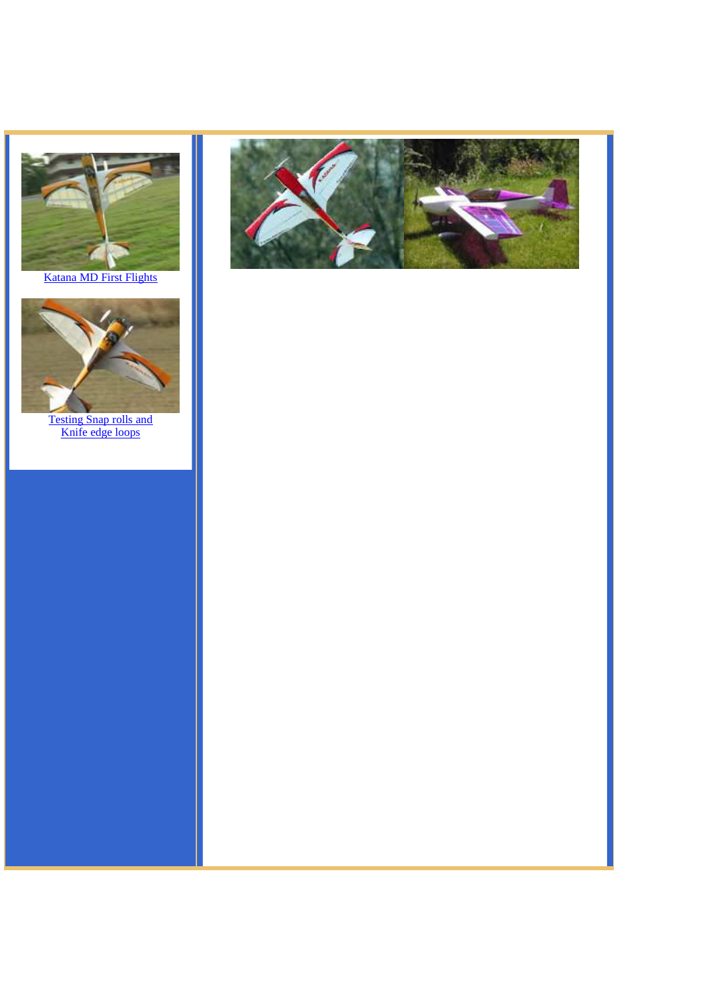

Katana MD First Flights



Testing Snap rolls and Knife edge loops

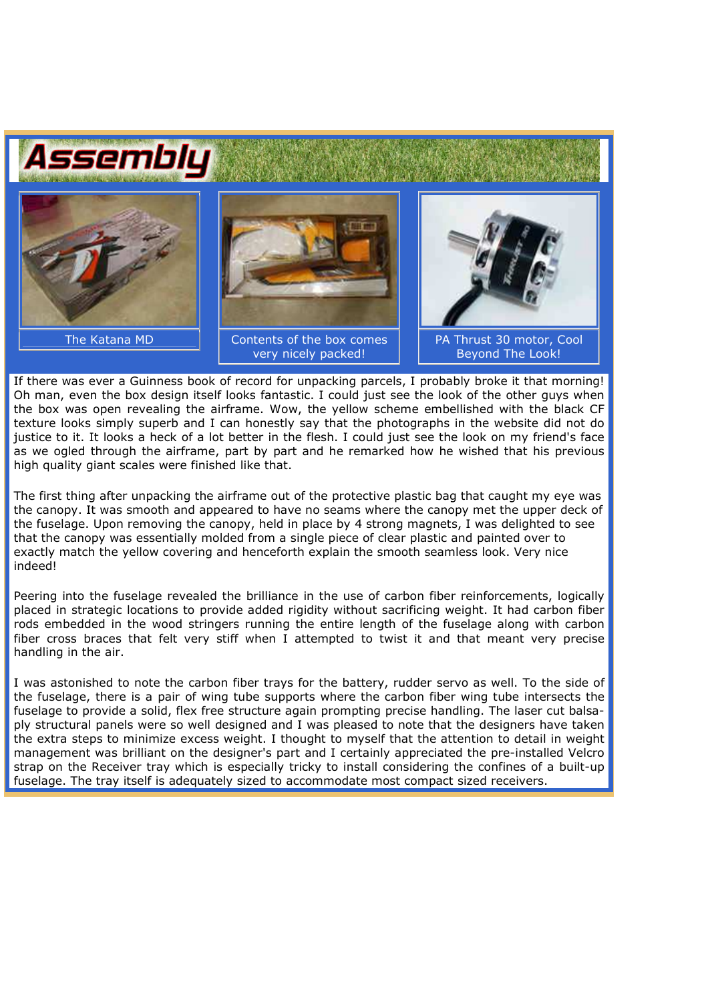

If there was ever a Guinness book of record for unpacking parcels, I probably broke it that morning! Oh man, even the box design itself looks fantastic. I could just see the look of the other guys when the box was open revealing the airframe. Wow, the yellow scheme embellished with the black CF texture looks simply superb and I can honestly say that the photographs in the website did not do justice to it. It looks a heck of a lot better in the flesh. I could just see the look on my friend's face as we ogled through the airframe, part by part and he remarked how he wished that his previous high quality giant scales were finished like that.

The first thing after unpacking the airframe out of the protective plastic bag that caught my eye was the canopy. It was smooth and appeared to have no seams where the canopy met the upper deck of the fuselage. Upon removing the canopy, held in place by 4 strong magnets, I was delighted to see that the canopy was essentially molded from a single piece of clear plastic and painted over to exactly match the yellow covering and henceforth explain the smooth seamless look. Very nice indeed!

Peering into the fuselage revealed the brilliance in the use of carbon fiber reinforcements, logically placed in strategic locations to provide added rigidity without sacrificing weight. It had carbon fiber rods embedded in the wood stringers running the entire length of the fuselage along with carbon fiber cross braces that felt very stiff when I attempted to twist it and that meant very precise handling in the air.

I was astonished to note the carbon fiber trays for the battery, rudder servo as well. To the side of the fuselage, there is a pair of wing tube supports where the carbon fiber wing tube intersects the fuselage to provide a solid, flex free structure again prompting precise handling. The laser cut balsaply structural panels were so well designed and I was pleased to note that the designers have taken the extra steps to minimize excess weight. I thought to myself that the attention to detail in weight management was brilliant on the designer's part and I certainly appreciated the pre-installed Velcro strap on the Receiver tray which is especially tricky to install considering the confines of a built-up fuselage. The tray itself is adequately sized to accommodate most compact sized receivers.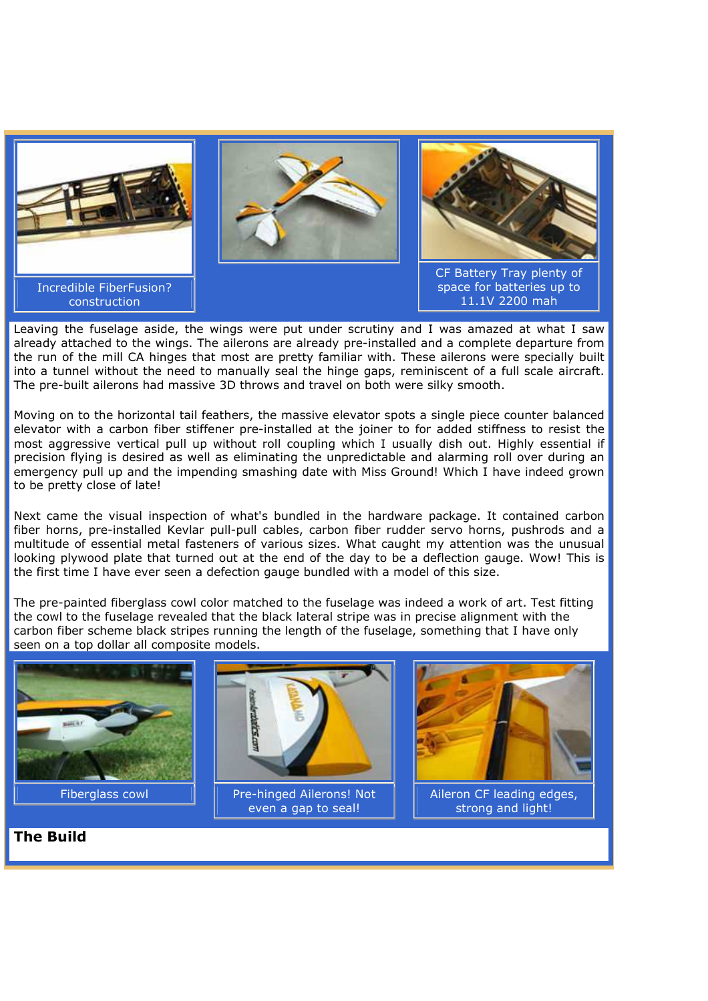

Leaving the fuselage aside, the wings were put under scrutiny and I was amazed at what I saw already attached to the wings. The ailerons are already pre-installed and a complete departure from the run of the mill CA hinges that most are pretty familiar with. These ailerons were specially built into a tunnel without the need to manually seal the hinge gaps, reminiscent of a full scale aircraft. The pre-built ailerons had massive 3D throws and travel on both were silky smooth.

Moving on to the horizontal tail feathers, the massive elevator spots a single piece counter balanced elevator with a carbon fiber stiffener pre-installed at the joiner to for added stiffness to resist the most aggressive vertical pull up without roll coupling which I usually dish out. Highly essential if precision flying is desired as well as eliminating the unpredictable and alarming roll over during an emergency pull up and the impending smashing date with Miss Ground! Which I have indeed grown to be pretty close of late!

Next came the visual inspection of what's bundled in the hardware package. It contained carbon fiber horns, pre-installed Kevlar pull-pull cables, carbon fiber rudder servo horns, pushrods and a multitude of essential metal fasteners of various sizes. What caught my attention was the unusual looking plywood plate that turned out at the end of the day to be a deflection gauge. Wow! This is the first time I have ever seen a defection gauge bundled with a model of this size.

The pre-painted fiberglass cowl color matched to the fuselage was indeed a work of art. Test fitting the cowl to the fuselage revealed that the black lateral stripe was in precise alignment with the carbon fiber scheme black stripes running the length of the fuselage, something that I have only seen on a top dollar all composite models.



**The Build**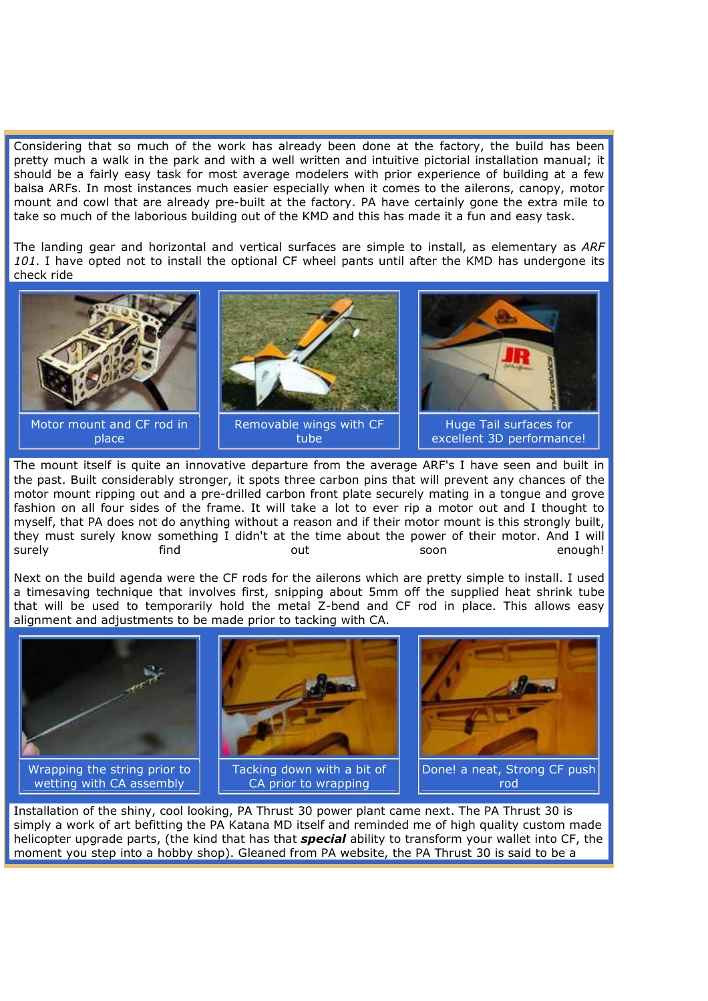Considering that so much of the work has already been done at the factory, the build has been pretty much a walk in the park and with a well written and intuitive pictorial installation manual; it should be a fairly easy task for most average modelers with prior experience of building at a few balsa ARFs. In most instances much easier especially when it comes to the ailerons, canopy, motor mount and cowl that are already pre-built at the factory. PA have certainly gone the extra mile to take so much of the laborious building out of the KMD and this has made it a fun and easy task.

The landing gear and horizontal and vertical surfaces are simple to install, as elementary as *ARF 101*. I have opted not to install the optional CF wheel pants until after the KMD has undergone its check ride



The mount itself is quite an innovative departure from the average ARF's I have seen and built in the past. Built considerably stronger, it spots three carbon pins that will prevent any chances of the motor mount ripping out and a pre-drilled carbon front plate securely mating in a tongue and grove fashion on all four sides of the frame. It will take a lot to ever rip a motor out and I thought to myself, that PA does not do anything without a reason and if their motor mount is this strongly built, they must surely know something I didn't at the time about the power of their motor. And I will surely state out soon the mough!

Next on the build agenda were the CF rods for the ailerons which are pretty simple to install. I used a timesaving technique that involves first, snipping about 5mm off the supplied heat shrink tube that will be used to temporarily hold the metal Z-bend and CF rod in place. This allows easy alignment and adjustments to be made prior to tacking with CA.



Installation of the shiny, cool looking, PA Thrust 30 power plant came next. The PA Thrust 30 is simply a work of art befitting the PA Katana MD itself and reminded me of high quality custom made helicopter upgrade parts, (the kind that has that *special* ability to transform your wallet into CF, the moment you step into a hobby shop). Gleaned from PA website, the PA Thrust 30 is said to be a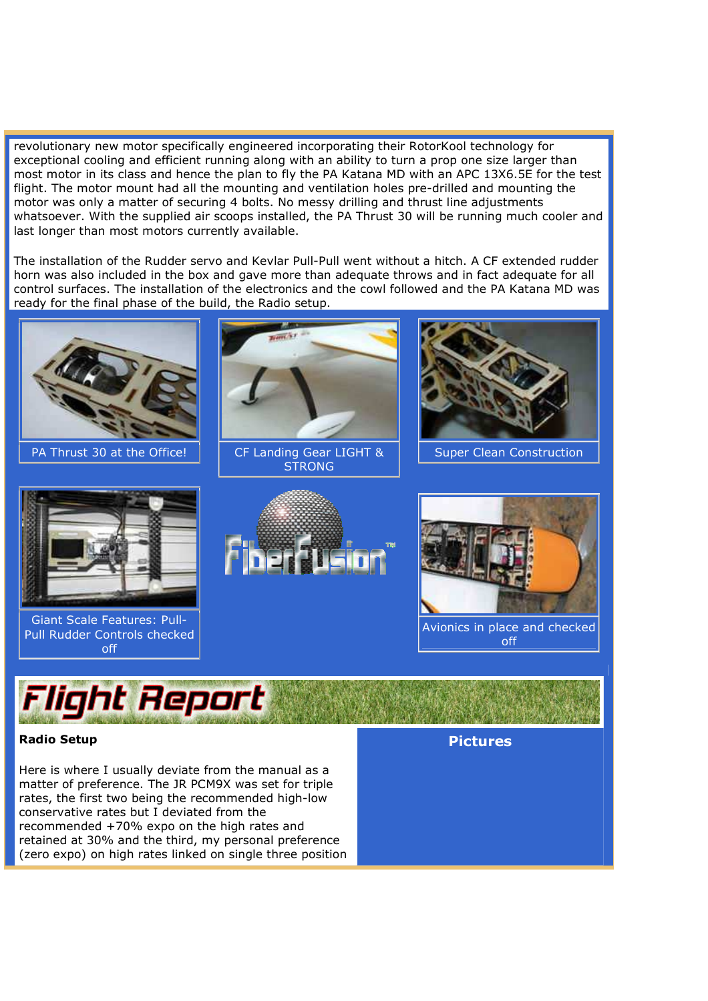revolutionary new motor specifically engineered incorporating their RotorKool technology for exceptional cooling and efficient running along with an ability to turn a prop one size larger than most motor in its class and hence the plan to fly the PA Katana MD with an APC 13X6.5E for the test flight. The motor mount had all the mounting and ventilation holes pre-drilled and mounting the motor was only a matter of securing 4 bolts. No messy drilling and thrust line adjustments whatsoever. With the supplied air scoops installed, the PA Thrust 30 will be running much cooler and last longer than most motors currently available.

The installation of the Rudder servo and Kevlar Pull-Pull went without a hitch. A CF extended rudder horn was also included in the box and gave more than adequate throws and in fact adequate for all control surfaces. The installation of the electronics and the cowl followed and the PA Katana MD was ready for the final phase of the build, the Radio setup.



## **Radio Setup**

Here is where I usually deviate from the manual as a matter of preference. The JR PCM9X was set for triple rates, the first two being the recommended high-low conservative rates but I deviated from the recommended +70% expo on the high rates and retained at 30% and the third, my personal preference (zero expo) on high rates linked on single three position **Pictures**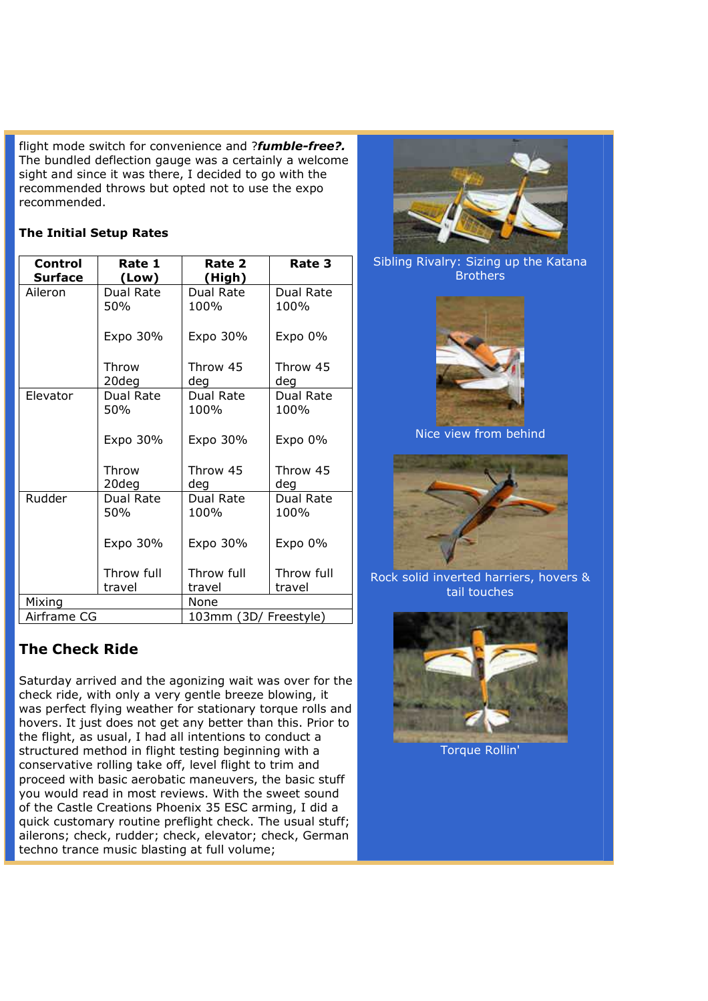flight mode switch for convenience and ?*fumble-free?.*  The bundled deflection gauge was a certainly a welcome sight and since it was there, I decided to go with the recommended throws but opted not to use the expo recommended.

## **The Initial Setup Rates**

| Control        | Rate 1           | Rate 2                | Rate 3            |
|----------------|------------------|-----------------------|-------------------|
| <b>Surface</b> | (Low)            | (High)                |                   |
| Aileron        | Dual Rate        | Dual Rate             | Dual Rate         |
|                | 50%              | 100%                  | 100%              |
|                | Expo 30%         | Expo 30%              | Expo 0%           |
|                | Throw            | Throw 45              | Throw 45          |
|                | 20deg            | deg                   | deg               |
| Elevator       | Dual Rate        | Dual Rate             | Dual Rate         |
|                | 50%              | 100%                  | 100%              |
|                | Expo 30%         | Expo 30%              | Expo 0%           |
|                | Throw<br>20deg   | Throw 45<br>deg       | Throw 45<br>deg   |
| Rudder         | Dual Rate<br>50% | Dual Rate<br>100%     | Dual Rate<br>100% |
|                | Expo 30%         | Expo 30%              | Expo 0%           |
|                | Throw full       | Throw full            | Throw full        |
|                | travel           | travel                | travel            |
| Mixing         |                  | None                  |                   |
| Airframe CG    |                  | 103mm (3D/ Freestyle) |                   |

# **The Check Ride**

Saturday arrived and the agonizing wait was over for the check ride, with only a very gentle breeze blowing, it was perfect flying weather for stationary torque rolls and hovers. It just does not get any better than this. Prior to the flight, as usual, I had all intentions to conduct a structured method in flight testing beginning with a conservative rolling take off, level flight to trim and proceed with basic aerobatic maneuvers, the basic stuff you would read in most reviews. With the sweet sound of the Castle Creations Phoenix 35 ESC arming, I did a quick customary routine preflight check. The usual stuff; ailerons; check, rudder; check, elevator; check, German techno trance music blasting at full volume;



Sibling Rivalry: Sizing up the Katana **Brothers** 



Nice view from behind



Rock solid inverted harriers, hovers & tail touches



Torque Rollin'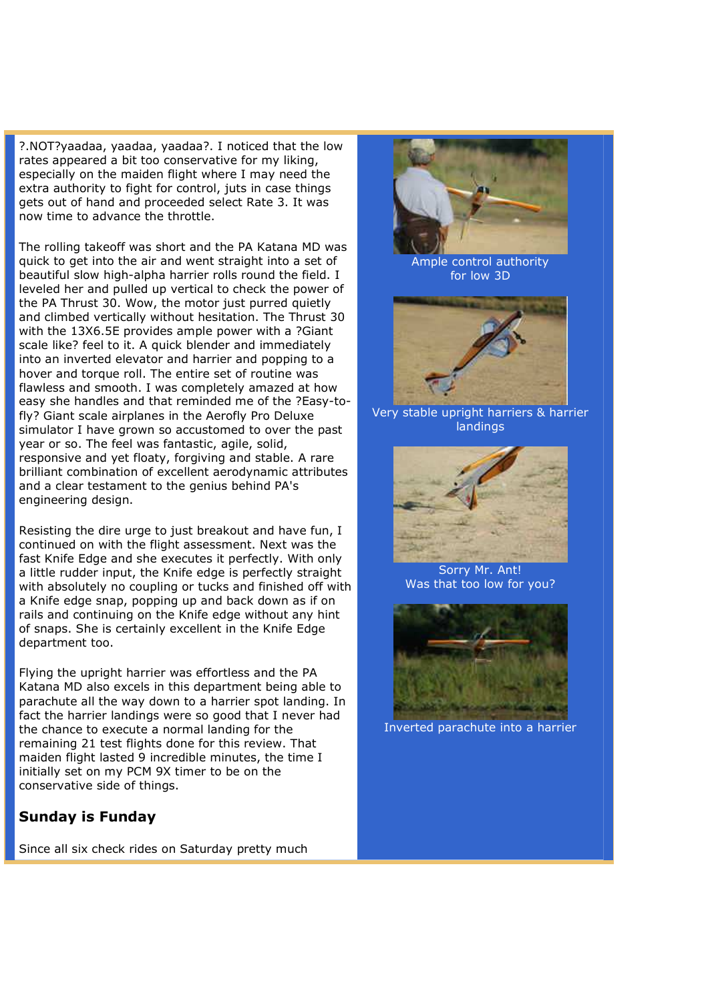?.NOT?yaadaa, yaadaa, yaadaa?. I noticed that the low rates appeared a bit too conservative for my liking, especially on the maiden flight where I may need the extra authority to fight for control, juts in case things gets out of hand and proceeded select Rate 3. It was now time to advance the throttle.

The rolling takeoff was short and the PA Katana MD was quick to get into the air and went straight into a set of beautiful slow high-alpha harrier rolls round the field. I leveled her and pulled up vertical to check the power of the PA Thrust 30. Wow, the motor just purred quietly and climbed vertically without hesitation. The Thrust 30 with the 13X6.5E provides ample power with a ?Giant scale like? feel to it. A quick blender and immediately into an inverted elevator and harrier and popping to a hover and torque roll. The entire set of routine was flawless and smooth. I was completely amazed at how easy she handles and that reminded me of the ?Easy-tofly? Giant scale airplanes in the Aerofly Pro Deluxe simulator I have grown so accustomed to over the past year or so. The feel was fantastic, agile, solid, responsive and yet floaty, forgiving and stable. A rare brilliant combination of excellent aerodynamic attributes and a clear testament to the genius behind PA's engineering design.

Resisting the dire urge to just breakout and have fun, I continued on with the flight assessment. Next was the fast Knife Edge and she executes it perfectly. With only a little rudder input, the Knife edge is perfectly straight with absolutely no coupling or tucks and finished off with a Knife edge snap, popping up and back down as if on rails and continuing on the Knife edge without any hint of snaps. She is certainly excellent in the Knife Edge department too.

Flying the upright harrier was effortless and the PA Katana MD also excels in this department being able to parachute all the way down to a harrier spot landing. In fact the harrier landings were so good that I never had the chance to execute a normal landing for the remaining 21 test flights done for this review. That maiden flight lasted 9 incredible minutes, the time I initially set on my PCM 9X timer to be on the conservative side of things.

## **Sunday is Funday**

Since all six check rides on Saturday pretty much



Ample control authority for low 3D



Very stable upright harriers & harrier landings



Sorry Mr. Ant! Was that too low for you?



Inverted parachute into a harrier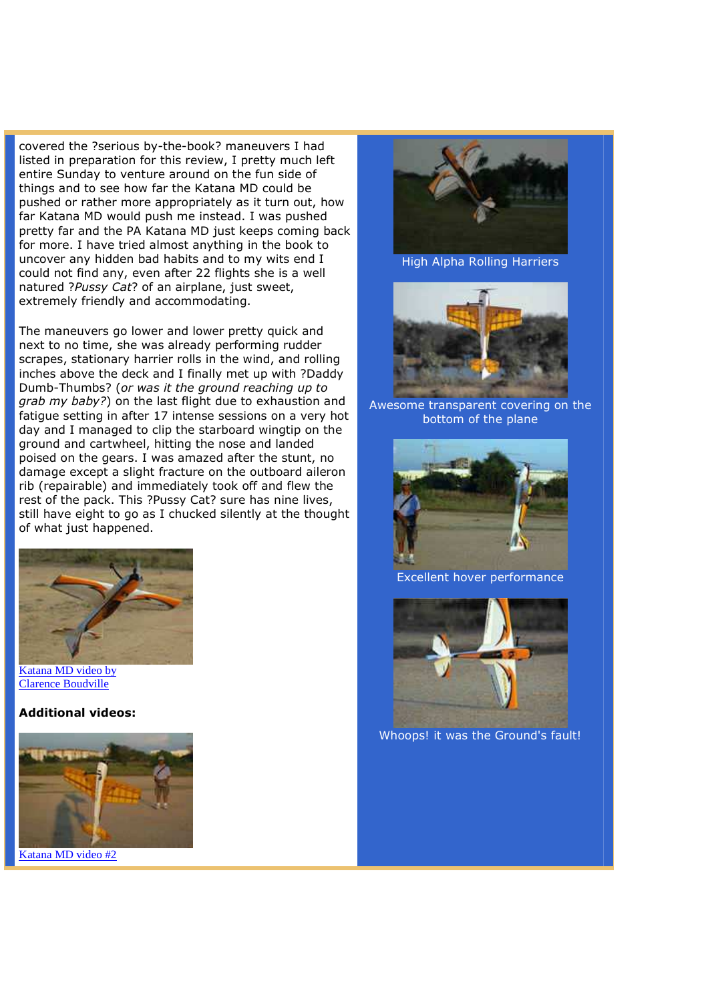covered the ?serious by-the-book? maneuvers I had listed in preparation for this review, I pretty much left entire Sunday to venture around on the fun side of things and to see how far the Katana MD could be pushed or rather more appropriately as it turn out, how far Katana MD would push me instead. I was pushed pretty far and the PA Katana MD just keeps coming back for more. I have tried almost anything in the book to uncover any hidden bad habits and to my wits end I could not find any, even after 22 flights she is a well natured ?*Pussy Cat*? of an airplane, just sweet, extremely friendly and accommodating.

The maneuvers go lower and lower pretty quick and next to no time, she was already performing rudder scrapes, stationary harrier rolls in the wind, and rolling inches above the deck and I finally met up with ?Daddy Dumb-Thumbs? (*or was it the ground reaching up to grab my baby?*) on the last flight due to exhaustion and fatigue setting in after 17 intense sessions on a very hot day and I managed to clip the starboard wingtip on the ground and cartwheel, hitting the nose and landed poised on the gears. I was amazed after the stunt, no damage except a slight fracture on the outboard aileron rib (repairable) and immediately took off and flew the rest of the pack. This ?Pussy Cat? sure has nine lives, still have eight to go as I chucked silently at the thought of what just happened.



Katana MD video by Clarence Boudville

**Additional videos:** 



Katana MD video #2



High Alpha Rolling Harriers



Awesome transparent covering on the bottom of the plane



Excellent hover performance



Whoops! it was the Ground's fault!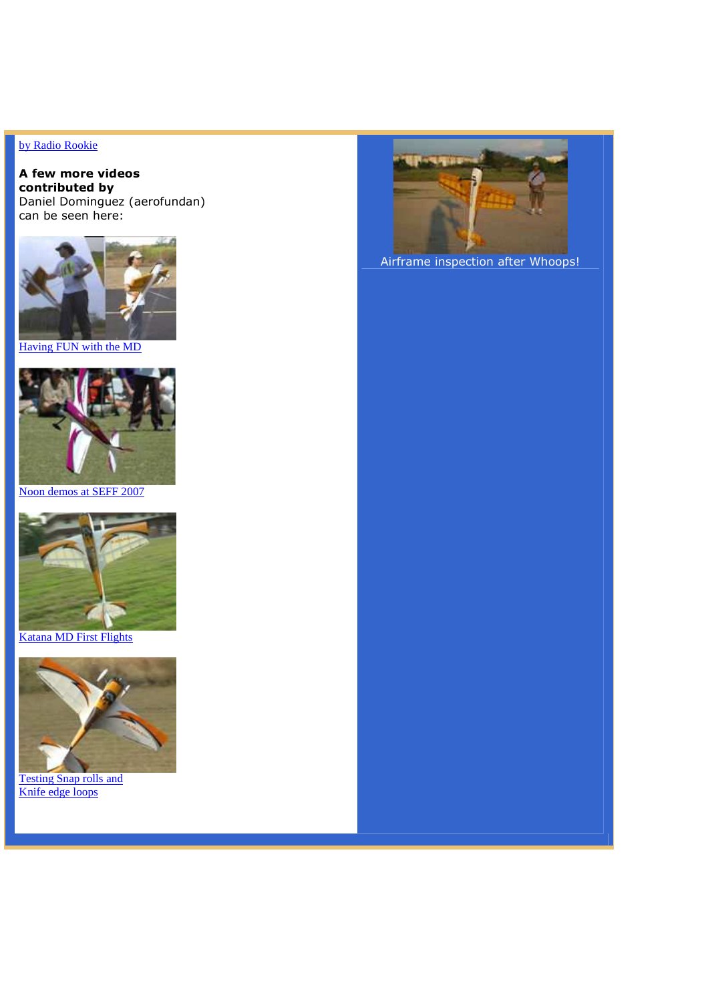## by Radio Rookie

#### **A few more videos contributed by** Daniel Dominguez (aerofundan) can be seen here:



Having FUN with the MD



Noon demos at SEFF 2007



Katana MD First Flights



Testing Snap rolls and Knife edge loops



Airframe inspection after Whoops!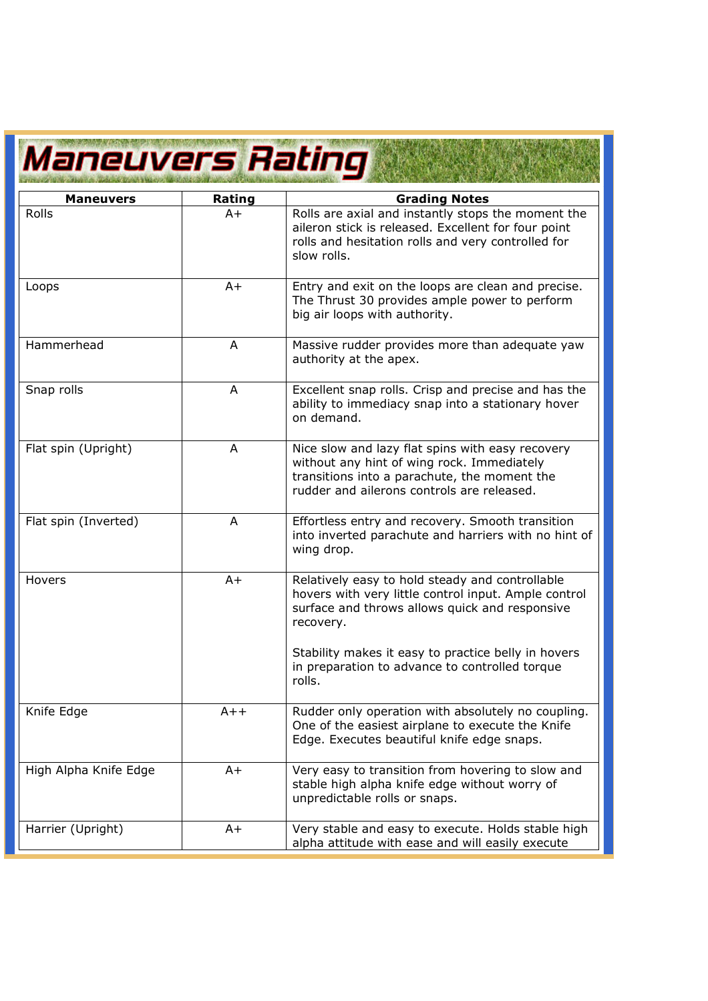# Maneuvers Rating

| <b>Maneuvers</b>      | Rating | <b>Grading Notes</b>                                                                                                                                                                         |  |
|-----------------------|--------|----------------------------------------------------------------------------------------------------------------------------------------------------------------------------------------------|--|
| Rolls                 | $A+$   | Rolls are axial and instantly stops the moment the<br>aileron stick is released. Excellent for four point<br>rolls and hesitation rolls and very controlled for<br>slow rolls.               |  |
| Loops                 | $A+$   | Entry and exit on the loops are clean and precise.<br>The Thrust 30 provides ample power to perform<br>big air loops with authority.                                                         |  |
| Hammerhead            | A      | Massive rudder provides more than adequate yaw<br>authority at the apex.                                                                                                                     |  |
| Snap rolls            | A      | Excellent snap rolls. Crisp and precise and has the<br>ability to immediacy snap into a stationary hover<br>on demand.                                                                       |  |
| Flat spin (Upright)   | A      | Nice slow and lazy flat spins with easy recovery<br>without any hint of wing rock. Immediately<br>transitions into a parachute, the moment the<br>rudder and ailerons controls are released. |  |
| Flat spin (Inverted)  | A      | Effortless entry and recovery. Smooth transition<br>into inverted parachute and harriers with no hint of<br>wing drop.                                                                       |  |
| Hovers                | $A+$   | Relatively easy to hold steady and controllable<br>hovers with very little control input. Ample control<br>surface and throws allows quick and responsive<br>recovery.                       |  |
|                       |        | Stability makes it easy to practice belly in hovers<br>in preparation to advance to controlled torque<br>rolls.                                                                              |  |
| Knife Edge            | $A++$  | Rudder only operation with absolutely no coupling.<br>One of the easiest airplane to execute the Knife<br>Edge. Executes beautiful knife edge snaps.                                         |  |
| High Alpha Knife Edge | $A+$   | Very easy to transition from hovering to slow and<br>stable high alpha knife edge without worry of<br>unpredictable rolls or snaps.                                                          |  |
| Harrier (Upright)     | $A+$   | Very stable and easy to execute. Holds stable high<br>alpha attitude with ease and will easily execute                                                                                       |  |